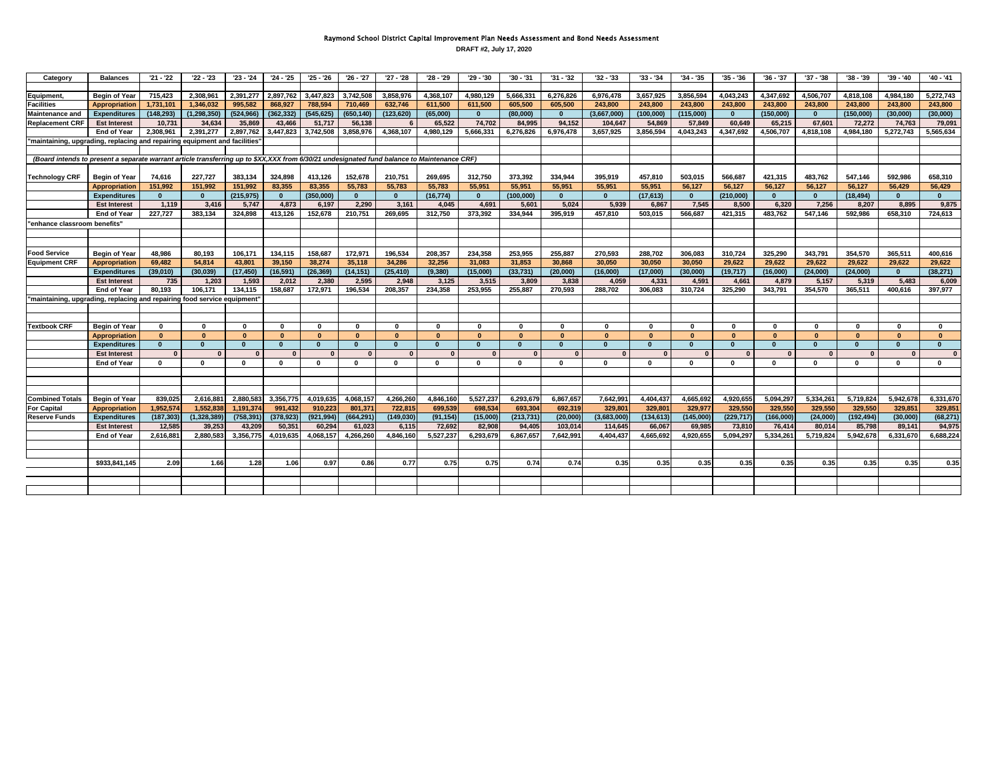## Raymond School District Capital Improvement Plan Needs Assessment and Bond Needs Assessment

**DRAFT #2, July 17, 2020**

| Category                                                                                                                                    | <b>Balances</b>      | $'21 - '22$  | $'22 - '23$   | $'23 - '24$  | $24 - 25$    | '25 - '26  | '26 - '27    | $'27 - '28$  | '28 - '29    | '29 - '30    | '30 - '31  | $'31 - '32$  | '32 - '33    | $'33 - '34$  | $'34 - '35$  | $'35 - '36$  | $36 - 37$    | '37 - '38    | '38 - '39    | '39 - '40 | '40 - '41    |
|---------------------------------------------------------------------------------------------------------------------------------------------|----------------------|--------------|---------------|--------------|--------------|------------|--------------|--------------|--------------|--------------|------------|--------------|--------------|--------------|--------------|--------------|--------------|--------------|--------------|-----------|--------------|
|                                                                                                                                             |                      |              |               |              |              |            |              |              |              |              |            |              |              |              |              |              |              |              |              |           |              |
| Equipment,                                                                                                                                  | <b>Begin of Year</b> | 715,423      | 2,308,961     | 2,391,277    | 2,897,762    | 3,447,823  | 3,742,508    | 3,858,976    | 4,368,107    | 4,980,129    | 5,666,331  | 6,276,826    | 6,976,478    | 3,657,925    | 3,856,594    | 4,043,243    | 4,347,692    | 4,506,707    | 4,818,108    | 4,984,180 | 5,272,743    |
| <b>Facilities</b>                                                                                                                           | <b>Appropriation</b> | 1,731,101    | 1.346.032     | 995.582      | 868,927      | 788.594    | 710,469      | 632,746      | 611.500      | 611,500      | 605,500    | 605,500      | 243,800      | 243,800      | 243,800      | 243.800      | 243,800      | 243.800      | 243,800      | 243.800   | 243,800      |
| <b>Maintenance and</b>                                                                                                                      | <b>Expenditures</b>  | (148, 293)   | (1, 298, 350) | (524, 966)   | (362, 332)   | (545, 625) | (650, 140)   | (123, 620)   | (65,000)     | $\mathbf{0}$ | (80,000)   | $\mathbf{0}$ | (3,667,000)  | (100,000)    | (115,000)    | $\bf{0}$     | (150,000)    | $\mathbf{0}$ | (150,000)    | (30,000)  | (30,000)     |
| <b>Replacement CRF</b>                                                                                                                      | <b>Est Interest</b>  | 10.731       | 34.634        | 35.869       | 43,466       | 51,717     | 56,138       |              | 65.522       | 74.702       | 84.995     | 94,152       | 104.647      | 54,869       | 57.849       | 60.649       | 65,215       | 67.601       | 72.272       | 74,763    | 79,091       |
|                                                                                                                                             | <b>End of Year</b>   | 2.308.961    | 2.391.277     | 2.897.762    | 3.447.823    | 3.742.508  | 3,858,976    | 4,368,107    | 4.980.129    | 5,666,331    | 6,276,826  | 6,976,478    | 3,657,925    | 3,856,594    | 4,043,243    | 4,347,692    | 4,506,707    | 4,818,108    | 4,984,180    | 5,272,743 | 5,565,634    |
| "maintaining, upgrading, replacing and repairing equipment and facilities"                                                                  |                      |              |               |              |              |            |              |              |              |              |            |              |              |              |              |              |              |              |              |           |              |
|                                                                                                                                             |                      |              |               |              |              |            |              |              |              |              |            |              |              |              |              |              |              |              |              |           |              |
| (Board intends to present a separate warrant article transferring up to \$XX,XXX from 6/30/21 undesignated fund balance to Maintenance CRF) |                      |              |               |              |              |            |              |              |              |              |            |              |              |              |              |              |              |              |              |           |              |
|                                                                                                                                             |                      |              |               |              |              |            |              |              |              |              |            |              |              |              |              |              |              |              |              |           |              |
| <b>Technology CRF</b>                                                                                                                       | <b>Begin of Year</b> | 74,616       | 227,727       | 383,134      | 324,898      | 413,126    | 152,678      | 210,751      | 269,695      | 312.750      | 373.392    | 334.944      | 395.919      | 457.810      | 503.015      | 566.687      | 421.315      | 483.762      | 547.146      | 592.986   | 658.310      |
|                                                                                                                                             | <b>Appropriation</b> | 151,992      | 151,992       | 151,992      | 83,355       | 83,355     | 55,783       | 55,783       | 55,783       | 55,951       | 55,951     | 55,951       | 55,951       | 55,951       | 56.127       | 56,127       | 56,127       | 56,127       | 56.127       | 56,429    | 56,429       |
|                                                                                                                                             | <b>Expenditures</b>  | $\mathbf{0}$ | $\mathbf{0}$  | (215, 975)   | $\mathbf{0}$ | (350.000)  | $\mathbf{0}$ | $\Omega$     | (16.774)     | $\mathbf{0}$ | (100.000)  | $\mathbf{0}$ | $\mathbf{0}$ | (17, 613)    | $\mathbf{0}$ | (210,000)    | $\mathbf{0}$ | $\mathbf{0}$ | (18.494)     | $\Omega$  | $\mathbf{0}$ |
|                                                                                                                                             | <b>Est Interest</b>  | 1,119        | 3,416         | 5,747        | 4,873        | 6,197      | 2,290        | 3,161        | 4,045        | 4,691        | 5,601      | 5,024        | 5,939        | 6,867        | 7,545        | 8,500        | 6,320        | 7,256        | 8,207        | 8,895     | 9,875        |
|                                                                                                                                             | <b>End of Year</b>   | 227.727      | 383.134       | 324.898      | 413,126      | 152.678    | 210.751      | 269.695      | 312.750      | 373,392      | 334.944    | 395,919      | 457.810      | 503.015      | 566.687      | 421.315      | 483,762      | 547.146      | 592.986      | 658,310   | 724.613      |
| 'enhance classroom benefits"                                                                                                                |                      |              |               |              |              |            |              |              |              |              |            |              |              |              |              |              |              |              |              |           |              |
|                                                                                                                                             |                      |              |               |              |              |            |              |              |              |              |            |              |              |              |              |              |              |              |              |           |              |
|                                                                                                                                             |                      |              |               |              |              |            |              |              |              |              |            |              |              |              |              |              |              |              |              |           |              |
| <b>Food Service</b>                                                                                                                         | <b>Begin of Year</b> | 48.986       | 80,193        | 106,171      | 134,115      | 158,687    | 172,971      | 196,534      | 208,357      | 234,358      | 253,955    | 255,887      | 270,593      | 288,702      | 306,083      | 310,724      | 325,290      | 343,791      | 354,570      | 365,511   | 400,616      |
| <b>Equipment CRF</b>                                                                                                                        | <b>Appropriation</b> | 69.482       | 54,814        | 43,801       | 39,150       | 38,274     | 35,118       | 34,286       | 32.256       | 31,083       | 31,853     | 30,868       | 30,050       | 30,050       | 30,050       | 29,622       | 29,622       | 29.622       | 29,622       | 29,622    | 29,622       |
|                                                                                                                                             | <b>Expenditures</b>  | (39.010)     | (30.039)      | (17, 450)    | (16, 591)    | (26, 369)  | (14, 151)    | (25, 410)    | (9,380)      | (15,000)     | (33, 731)  | (20,000)     | (16,000)     | (17,000)     | (30,000)     | (19, 717)    | (16,000)     | (24.000)     | (24.000)     | $\Omega$  | (38, 271)    |
|                                                                                                                                             | <b>Est Interest</b>  | 735          | 1.203         | 1.593        | 2.012        | 2.380      | 2.595        | 2,948        | 3.125        | 3,515        | 3.809      | 3.838        | 4.059        | 4,331        | 4.591        | 4.661        | 4,879        | 5.157        | 5.319        | 5.483     | 6,009        |
|                                                                                                                                             | <b>End of Year</b>   | 80.193       | 106.171       | 134.115      | 158.687      | 172.971    | 196,534      | 208,357      | 234.358      | 253,955      | 255,887    | 270.593      | 288,702      | 306.083      | 310,724      | 325.290      | 343,791      | 354,570      | 365,511      | 400.616   | 397.977      |
| 'maintaining, upgrading, replacing and repairing food service equipment                                                                     |                      |              |               |              |              |            |              |              |              |              |            |              |              |              |              |              |              |              |              |           |              |
|                                                                                                                                             |                      |              |               |              |              |            |              |              |              |              |            |              |              |              |              |              |              |              |              |           |              |
|                                                                                                                                             |                      |              |               |              |              |            |              |              |              |              |            |              |              |              |              |              |              |              |              |           |              |
| <b>Textbook CRF</b>                                                                                                                         | <b>Begin of Year</b> | $\mathbf{0}$ | $\bf{0}$      | $\mathbf{0}$ | $\mathbf{0}$ | $\Omega$   | $\mathbf{0}$ | $\mathbf{0}$ | $\mathbf{0}$ | $\mathbf{0}$ | $\Omega$   | $\bf{0}$     | $\mathbf{0}$ | $\mathbf{0}$ | $\bf{0}$     | $\mathbf{0}$ | $\mathbf{0}$ | $\mathbf{0}$ | $\mathbf{0}$ | $\Omega$  | $\mathbf{0}$ |
|                                                                                                                                             | <b>Appropriation</b> | $\mathbf{r}$ | $\Omega$      | $\sqrt{2}$   | $\sqrt{2}$   | $\sqrt{2}$ | $\mathbf{a}$ | $\sqrt{2}$   | $\sqrt{2}$   | $\Omega$     | $\sqrt{2}$ | $\mathbf{r}$ | $\Omega$     | $\sqrt{2}$   | $\Omega$     | $\sqrt{2}$   | $\sqrt{2}$   | $\sqrt{2}$   | $\sqrt{2}$   | $\Omega$  | $\sqrt{2}$   |
|                                                                                                                                             | <b>Expenditures</b>  | $\Omega$     | $\Omega$      | $\Omega$     | $\Omega$     | $\Omega$   | $\Omega$     | $\Omega$     |              | $\Omega$     | $\Omega$   | $\Omega$     | $\mathbf{0}$ |              | $\Omega$     | $\Omega$     |              | $\Omega$     | $\Omega$     |           | $\Omega$     |
|                                                                                                                                             | <b>Est Interest</b>  | $\Omega$     | $\sqrt{2}$    |              | $\Omega$     |            | $\sqrt{ }$   |              | $\sqrt{2}$   | $\Omega$     | $\sqrt{ }$ | $\Omega$     |              | $\Omega$     | $\sqrt{ }$   | $\Omega$     | $\Omega$     |              |              | $\Omega$  |              |
|                                                                                                                                             | <b>End of Year</b>   | $\Omega$     | $\mathbf{0}$  | $\mathbf{0}$ | $\mathbf{0}$ | $\Omega$   | $\mathbf{0}$ | $\Omega$     | $\mathbf{0}$ | $\mathbf{0}$ | $\Omega$   | $\Omega$     | $\mathbf{0}$ | 0            | $\mathbf{0}$ | $\Omega$     | $\Omega$     | $\mathbf{0}$ | $\mathbf{0}$ | $\Omega$  | $\mathbf{0}$ |
|                                                                                                                                             |                      |              |               |              |              |            |              |              |              |              |            |              |              |              |              |              |              |              |              |           |              |
|                                                                                                                                             |                      |              |               |              |              |            |              |              |              |              |            |              |              |              |              |              |              |              |              |           |              |
|                                                                                                                                             |                      |              |               |              |              |            |              |              |              |              |            |              |              |              |              |              |              |              |              |           |              |
| <b>Combined Totals</b>                                                                                                                      | <b>Begin of Year</b> | 839.025      | 2,616,881     | 2.880.583    | 3,356,775    | 4,019,635  | 4,068,157    | 4,266,260    | 4.846.160    | 5,527,237    | 6,293,679  | 6,867,657    | 7,642,991    | 4,404,437    | 4,665,692    | 4,920,655    | 5,094,297    | 5.334.261    | 5,719,824    | 5.942.678 | 6,331,670    |
| <b>For Capital</b>                                                                                                                          | <b>Appropriation</b> | 1.952.574    | 1.552.838     | 1.191.374    | 991.432      | 910.223    | 801.371      | 722.815      | 699.539      | 698.534      | 693.304    | 692.319      | 329.80       | 329.80       | 329.977      | 329.550      | 329.550      | 329.550      | 329.550      | 329.851   | 329.851      |
| <b>Reserve Funds</b>                                                                                                                        | <b>Expenditures</b>  | (187, 303)   | (1,328,389)   | (758, 391)   | (378, 923)   | (921, 994) | (664, 291)   | (149, 030)   | (91, 154)    | (15,000)     | (213, 731) | (20,000)     | (3,683,000)  | (134, 613)   | (145,000)    | (229, 717)   | (166,000)    | (24,000)     | (192, 494)   | (30,000)  | (68, 271)    |
|                                                                                                                                             | <b>Est Interest</b>  | 12.585       | 39,253        | 43,209       | 50,351       | 60.294     | 61,023       | 6,115        | 72,692       | 82,908       | 94,405     | 103,014      | 114,645      | 66,067       | 69,985       | 73,810       | 76,414       | 80,014       | 85,798       | 89,141    | 94,975       |
|                                                                                                                                             | <b>End of Year</b>   | 2.616.881    | 2.880.583     | 3.356.775    | 4.019.635    | 4.068.157  | 4.266.260    | 4.846.160    | 5.527.237    | 6.293.679    | 6.867.657  | 7.642.991    | 4.404.437    | 4.665.692    | 4.920.655    | 5.094.297    | 5,334,261    | 5.719.824    | 5.942.678    | 6,331,670 | 6.688.224    |
|                                                                                                                                             |                      |              |               |              |              |            |              |              |              |              |            |              |              |              |              |              |              |              |              |           |              |
|                                                                                                                                             |                      |              |               |              |              |            |              |              |              |              |            |              |              |              |              |              |              |              |              |           |              |
|                                                                                                                                             | \$933,841,145        | 2.09         | 1.66          | 1.28         | 1.06         | 0.97       | 0.86         | 0.77         | 0.75         | 0.75         | 0.74       | 0.74         | 0.35         | 0.35         | 0.35         | 0.35         | 0.35         | 0.35         | 0.35         | 0.35      | 0.35         |
|                                                                                                                                             |                      |              |               |              |              |            |              |              |              |              |            |              |              |              |              |              |              |              |              |           |              |
|                                                                                                                                             |                      |              |               |              |              |            |              |              |              |              |            |              |              |              |              |              |              |              |              |           |              |
|                                                                                                                                             |                      |              |               |              |              |            |              |              |              |              |            |              |              |              |              |              |              |              |              |           |              |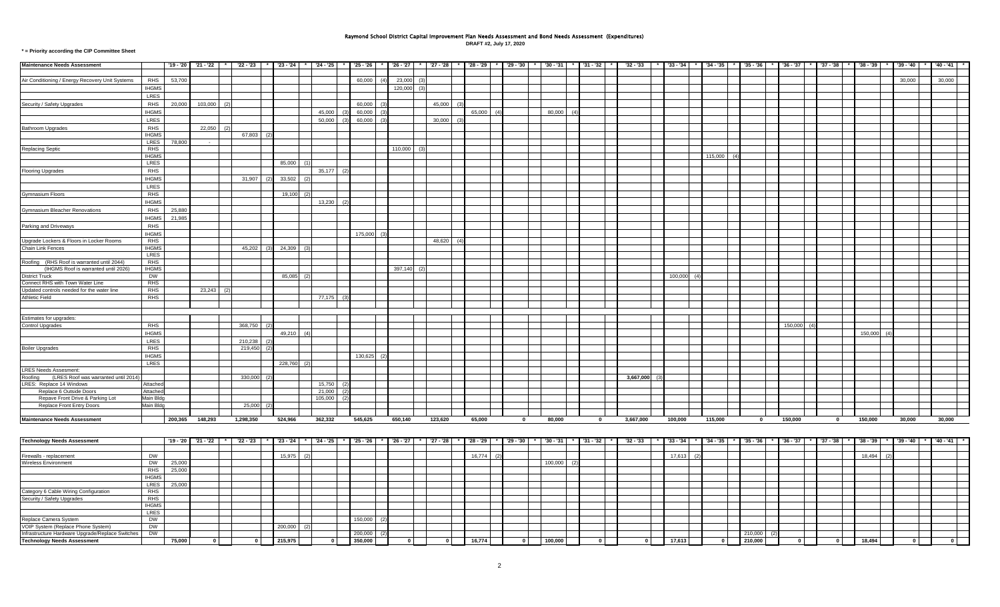## Raymond School District Capital Improvement Plan Needs Assessment and Bond Needs Assessment (Expenditures)

**DRAFT #2, July 17, 2020**

**\* = Priority according the CIP Committee Sheet**

| <b>Maintenance Needs Assessment</b>                         |                       | '19 - '20 | $'21 - '22$ | $22 - 23$ | $'23 - '24$ |     | $'24 - '25$             |            | $'25 - '26$    | '26 - '27 |      | $'27 - '28$ | $*$ 28 - 29 |     | $'29 - '30$  | '30 - '31   |     | '31 - '32    | $'32 - '33$ | $33 - 34$ |               | $'34 - '35$ | $'35 - '36$ | $'36 - '37$ | '37 - '38   | '38 - '39     | '39 - '40 | $140 - 41$  |  |
|-------------------------------------------------------------|-----------------------|-----------|-------------|-----------|-------------|-----|-------------------------|------------|----------------|-----------|------|-------------|-------------|-----|--------------|-------------|-----|--------------|-------------|-----------|---------------|-------------|-------------|-------------|-------------|---------------|-----------|-------------|--|
| Air Conditioning / Energy Recovery Unit Systems             | <b>RHS</b>            | 53,700    |             |           |             |     |                         |            | 60,000<br>(4)  | 23,000    | (3)  |             |             |     |              |             |     |              |             |           |               |             |             |             |             |               | 30,000    | 30,000      |  |
|                                                             | <b>IHGMS</b>          |           |             |           |             |     |                         |            |                | 120,000   | (3)  |             |             |     |              |             |     |              |             |           |               |             |             |             |             |               |           |             |  |
|                                                             | LRES                  |           |             |           |             |     |                         |            |                |           |      |             |             |     |              |             |     |              |             |           |               |             |             |             |             |               |           |             |  |
|                                                             | RHS                   |           | 103,000     |           |             |     |                         |            | 60,000         |           |      | 45,000      |             |     |              |             |     |              |             |           |               |             |             |             |             |               |           |             |  |
| Security / Safety Upgrades                                  |                       | 20,000    |             |           |             |     |                         |            |                |           |      |             |             |     |              |             |     |              |             |           |               |             |             |             |             |               |           |             |  |
|                                                             | <b>IHGMS</b>          |           |             |           |             |     | 45,000                  |            | 60,000         |           |      |             | 65,000      |     |              | 80,000      | (4) |              |             |           |               |             |             |             |             |               |           |             |  |
|                                                             | LRES                  |           |             |           |             |     | 50,000                  |            | 60,000         |           |      | 30,000      |             |     |              |             |     |              |             |           |               |             |             |             |             |               |           |             |  |
| Bathroom Upgrades                                           | <b>RHS</b>            |           | 22,050      |           |             |     |                         |            |                |           |      |             |             |     |              |             |     |              |             |           |               |             |             |             |             |               |           |             |  |
|                                                             | <b>IHGMS</b>          |           |             | 67,803    |             |     |                         |            |                |           |      |             |             |     |              |             |     |              |             |           |               |             |             |             |             |               |           |             |  |
|                                                             | LRES<br><b>RHS</b>    | 78,800    | $\sim$      |           |             |     |                         |            |                | 110,000   | - (3 |             |             |     |              |             |     |              |             |           |               |             |             |             |             |               |           |             |  |
| <b>Replacing Septic</b>                                     | <b>IHGMS</b>          |           |             |           |             |     |                         |            |                |           |      |             |             |     |              |             |     |              |             |           |               | 115,000     |             |             |             |               |           |             |  |
|                                                             | LRES                  |           |             |           | 85,000      |     |                         |            |                |           |      |             |             |     |              |             |     |              |             |           |               |             |             |             |             |               |           |             |  |
|                                                             | <b>RHS</b>            |           |             |           |             |     | 35,177                  | $\sqrt{2}$ |                |           |      |             |             |     |              |             |     |              |             |           |               |             |             |             |             |               |           |             |  |
| <b>Flooring Upgrades</b>                                    | <b>IHGMS</b>          |           |             |           |             |     |                         |            |                |           |      |             |             |     |              |             |     |              |             |           |               |             |             |             |             |               |           |             |  |
|                                                             |                       |           |             | 31,907    | 33,502      |     |                         |            |                |           |      |             |             |     |              |             |     |              |             |           |               |             |             |             |             |               |           |             |  |
|                                                             | LRES                  |           |             |           |             |     |                         |            |                |           |      |             |             |     |              |             |     |              |             |           |               |             |             |             |             |               |           |             |  |
| Gymnasium Floors                                            | RHS                   |           |             |           | 19,100      |     |                         |            |                |           |      |             |             |     |              |             |     |              |             |           |               |             |             |             |             |               |           |             |  |
|                                                             | <b>IHGMS</b>          |           |             |           |             |     | 13,230                  | (2)        |                |           |      |             |             |     |              |             |     |              |             |           |               |             |             |             |             |               |           |             |  |
| <b>Gymnasium Bleacher Renovations</b>                       | <b>RHS</b>            | 25,880    |             |           |             |     |                         |            |                |           |      |             |             |     |              |             |     |              |             |           |               |             |             |             |             |               |           |             |  |
|                                                             | <b>IHGMS</b>          | 21,985    |             |           |             |     |                         |            |                |           |      |             |             |     |              |             |     |              |             |           |               |             |             |             |             |               |           |             |  |
| Parking and Driveways                                       | <b>RHS</b>            |           |             |           |             |     |                         |            |                |           |      |             |             |     |              |             |     |              |             |           |               |             |             |             |             |               |           |             |  |
|                                                             | <b>IHGMS</b>          |           |             |           |             |     |                         |            | 175,000        |           |      |             |             |     |              |             |     |              |             |           |               |             |             |             |             |               |           |             |  |
| Upgrade Lockers & Floors in Locker Rooms                    | <b>RHS</b>            |           |             |           |             |     |                         |            |                |           |      | 48,620      |             |     |              |             |     |              |             |           |               |             |             |             |             |               |           |             |  |
| Chain Link Fences                                           | <b>IHGMS</b>          |           |             | 45,202    | 24,309      |     |                         |            |                |           |      |             |             |     |              |             |     |              |             |           |               |             |             |             |             |               |           |             |  |
|                                                             | <b>LRES</b>           |           |             |           |             |     |                         |            |                |           |      |             |             |     |              |             |     |              |             |           |               |             |             |             |             |               |           |             |  |
| Roofing (RHS Roof is warranted until 2044)                  | RHS                   |           |             |           |             |     |                         |            |                |           |      |             |             |     |              |             |     |              |             |           |               |             |             |             |             |               |           |             |  |
| (IHGMS Roof is warranted until 2026)                        | <b>IHGMS</b>          |           |             |           |             |     |                         |            |                | 397,140   |      |             |             |     |              |             |     |              |             |           |               |             |             |             |             |               |           |             |  |
| District Truck                                              | <b>DW</b>             |           |             |           | 85,085      | (2) |                         |            |                |           |      |             |             |     |              |             |     |              |             |           | 100,000       |             |             |             |             |               |           |             |  |
| Connect RHS with Town Water Line                            | $R$ HS                |           |             |           |             |     |                         |            |                |           |      |             |             |     |              |             |     |              |             |           |               |             |             |             |             |               |           |             |  |
| Updated controls needed for the water line                  | <b>RHS</b>            |           | 23,243      |           |             |     |                         |            |                |           |      |             |             |     |              |             |     |              |             |           |               |             |             |             |             |               |           |             |  |
| Athletic Field                                              | <b>RHS</b>            |           |             |           |             |     | 77,175                  |            |                |           |      |             |             |     |              |             |     |              |             |           |               |             |             |             |             |               |           |             |  |
|                                                             |                       |           |             |           |             |     |                         |            |                |           |      |             |             |     |              |             |     |              |             |           |               |             |             |             |             |               |           |             |  |
|                                                             |                       |           |             |           |             |     |                         |            |                |           |      |             |             |     |              |             |     |              |             |           |               |             |             |             |             |               |           |             |  |
| Estimates for upgrades:<br>Control Upgrades                 | <b>RHS</b>            |           |             | 368,750   |             |     |                         |            |                |           |      |             |             |     |              |             |     |              |             |           |               |             |             | 150,000     |             |               |           |             |  |
|                                                             |                       |           |             |           |             | (4) |                         |            |                |           |      |             |             |     |              |             |     |              |             |           |               |             |             |             |             |               |           |             |  |
|                                                             | <b>IHGMS</b>          |           |             |           | 49,210      |     |                         |            |                |           |      |             |             |     |              |             |     |              |             |           |               |             |             |             |             | 150,000       |           |             |  |
|                                                             | LRES                  |           |             | 210,238   |             |     |                         |            |                |           |      |             |             |     |              |             |     |              |             |           |               |             |             |             |             |               |           |             |  |
| Boiler Upgrades                                             | <b>RHS</b>            |           |             | 219,450   |             |     |                         |            |                |           |      |             |             |     |              |             |     |              |             |           |               |             |             |             |             |               |           |             |  |
|                                                             | <b>IHGMS</b>          |           |             |           |             |     |                         |            | 130,625<br>(2) |           |      |             |             |     |              |             |     |              |             |           |               |             |             |             |             |               |           |             |  |
|                                                             | LRES                  |           |             |           | 228,760     | (2) |                         |            |                |           |      |             |             |     |              |             |     |              |             |           |               |             |             |             |             |               |           |             |  |
| <b>LRES Needs Assesment:</b>                                |                       |           |             |           |             |     |                         |            |                |           |      |             |             |     |              |             |     |              |             |           |               |             |             |             |             |               |           |             |  |
| Roofing (LRES Roof was warranted until 2014)                |                       |           |             | 330,000   |             |     |                         |            |                |           |      |             |             |     |              |             |     |              | 3,667,000   |           |               |             |             |             |             |               |           |             |  |
| LRES: Replace 14 Windows                                    | Attached              |           |             |           |             |     | 15,750                  |            |                |           |      |             |             |     |              |             |     |              |             |           |               |             |             |             |             |               |           |             |  |
| Replace 6 Outside Doors<br>Repave Front Drive & Parking Lot | Attached<br>Main Bldg |           |             |           |             |     | 21,000<br>$105,000$ (2) |            |                |           |      |             |             |     |              |             |     |              |             |           |               |             |             |             |             |               |           |             |  |
| Replace Front Entry Doors                                   | Main Bldg             |           |             | 25,000    |             |     |                         |            |                |           |      |             |             |     |              |             |     |              |             |           |               |             |             |             |             |               |           |             |  |
|                                                             |                       |           |             |           |             |     |                         |            |                |           |      |             |             |     |              |             |     |              |             |           |               |             |             |             |             |               |           |             |  |
| <b>Maintenance Needs Assessment</b>                         |                       | 200,365   | 148,293     | 1,298,350 | 524,966     |     | 362,332                 |            | 545,625        | 650,140   |      | 123,620     | 65,000      |     | $\mathbf 0$  | 80,000      |     | $\mathbf{0}$ | 3,667,000   | 100,000   |               | 115,000     | $\mathbf 0$ | 150,000     | $\mathbf 0$ | 150,000       | 30,000    | 30,000      |  |
|                                                             |                       |           |             |           |             |     |                         |            |                |           |      |             |             |     |              |             |     |              |             |           |               |             |             |             |             |               |           |             |  |
| <b>Technology Needs Assessment</b>                          |                       | '19 - '20 | $'21 - '22$ | $22 - 23$ | $'23 - '24$ |     | $'24 - '25$             |            | $'25 - '26$    | '26 - '27 |      | $'27 - '28$ | $'28 - '29$ |     | $'29 - '30'$ | $'30 - '31$ |     | $'31 - '32$  | $'32 - '33$ | $33 - 34$ |               | $'34 - '35$ | $'35 - '36$ | $'36 - '37$ | '37 - '38   | '38 - '39     | '39 - '40 | $'40 - '41$ |  |
|                                                             |                       |           |             |           |             |     |                         |            |                |           |      |             |             |     |              |             |     |              |             |           |               |             |             |             |             |               |           |             |  |
| Firewalls - replacement                                     | <b>DW</b>             |           |             |           | 15.975      | (2) |                         |            |                |           |      |             | 16,774      | (2) |              |             |     |              |             |           | 17.613<br>(2) |             |             |             |             | 18.494<br>(2) |           |             |  |
|                                                             |                       |           |             |           |             |     |                         |            |                |           |      |             |             |     |              |             |     |              |             |           |               |             |             |             |             |               |           |             |  |

Technology Needs Assessment | | 75,000 | 0 | | 0 | | 215,975 | 0 | | 350,000 | | 0 | | 16,774 | 0 | |100,000 | 0 | | 17,613 | 0 | |210,000 | 0 | 18,494 | 0 | | 0 | | 18,494 | 0 | | 0

<u>Infrastructure Hardware Upgrade/Replace Switches DW 200,000 (2)</u><br>Technology Needs Assessment 25,000 (2) 215,975 0 350,000 0 215,975 0 350,000 0 16,774 0 100,000 0 0 17,613 0 210,000

Wireless Environment DW 25,000 100,000 (2)

RHS 25,000 IHGMS LRES 25,000

Replace Camera System 150,000 (2)<br>VOIP System (Replace Phone System) DW 200,000 (2)<br>200,000 (2)

┯

IHGMS LRES<br>DW

Category 6 Cable Wiring Configuration RHS<br>
Security / Safety Upgrades RHS

Security / Safety Upgrades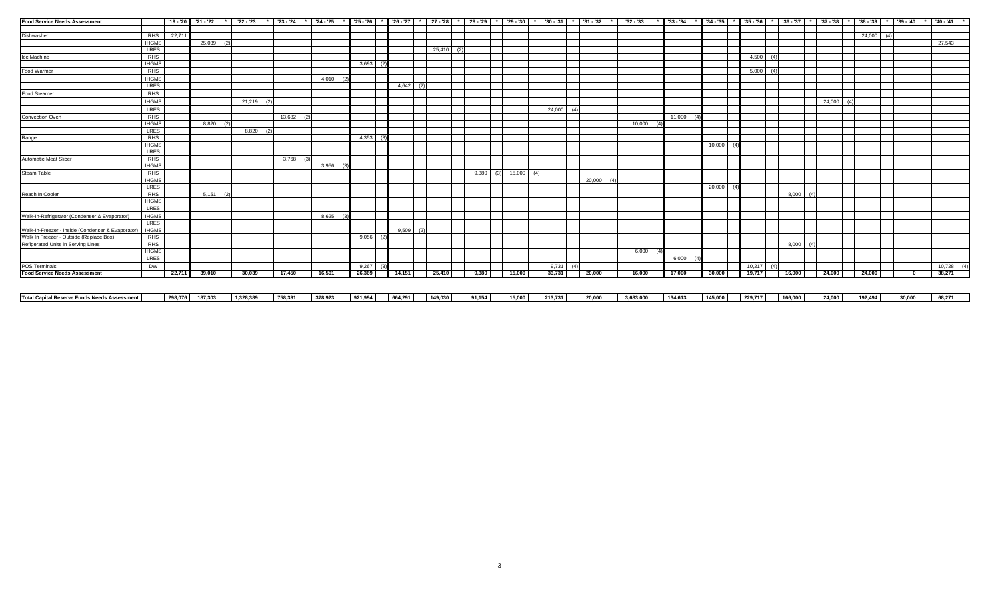| <b>Food Service Needs Assessment</b>              |              |        | $'19 - '20$ $'21 - '22$ $'$ $'22 - '23$ |     |              | $123 - 24$ $124 - 25$ |              | $*$ 25 - 26 |             | $'$ 26 - 27 | $*$ 27 - 28  | $*$ 28 - 29  | $*$ 29 30 $*$ 30 31 |        | $*$ 31 - 32 | '32 - '33    | $'33 - '34$  | $34 - 35$ |     | $'35 - '36$ |                 | $36 - 37$   | * 37 - 38 * 38 - 39 |           |       | $*$ 39 - '40 $*$ '40 - '41 $*$ |
|---------------------------------------------------|--------------|--------|-----------------------------------------|-----|--------------|-----------------------|--------------|-------------|-------------|-------------|--------------|--------------|---------------------|--------|-------------|--------------|--------------|-----------|-----|-------------|-----------------|-------------|---------------------|-----------|-------|--------------------------------|
|                                                   |              |        |                                         |     |              |                       |              |             |             |             |              |              |                     |        |             |              |              |           |     |             |                 |             |                     |           |       |                                |
| Dishwasher                                        | RHS          | 22,711 |                                         |     |              |                       |              |             |             |             |              |              |                     |        |             |              |              |           |     |             |                 |             |                     | 24,000 (4 |       |                                |
|                                                   | <b>IHGMS</b> |        | 25,039                                  | (2) |              |                       |              |             |             |             |              |              |                     |        |             |              |              |           |     |             |                 |             |                     |           |       | 27,543                         |
|                                                   | <b>LRES</b>  |        |                                         |     |              |                       |              |             |             |             | $25,410$ (2) |              |                     |        |             |              |              |           |     |             |                 |             |                     |           |       |                                |
| Ice Machine                                       | RHS          |        |                                         |     |              |                       |              |             |             |             |              |              |                     |        |             |              |              |           |     | 4,500 (4)   |                 |             |                     |           |       |                                |
|                                                   | <b>IHGMS</b> |        |                                         |     |              |                       |              | 3,693       | (2)         |             |              |              |                     |        |             |              |              |           |     |             |                 |             |                     |           |       |                                |
| Food Warmer                                       | <b>RHS</b>   |        |                                         |     |              |                       |              |             |             |             |              |              |                     |        |             |              |              |           |     | 5,000       | $\sqrt{4}$      |             |                     |           |       |                                |
|                                                   | <b>IHGMS</b> |        |                                         |     |              |                       | 4,010<br>(2) |             |             |             |              |              |                     |        |             |              |              |           |     |             |                 |             |                     |           |       |                                |
|                                                   | <b>LRES</b>  |        |                                         |     |              |                       |              |             |             | $4,642$ (2) |              |              |                     |        |             |              |              |           |     |             |                 |             |                     |           |       |                                |
| Food Steamer                                      | <b>RHS</b>   |        |                                         |     |              |                       |              |             |             |             |              |              |                     |        |             |              |              |           |     |             |                 |             |                     |           |       |                                |
|                                                   | <b>IHGMS</b> |        |                                         |     | $21,219$ (2) |                       |              |             |             |             |              |              |                     |        |             |              |              |           |     |             |                 |             | 24,000 (4           |           |       |                                |
|                                                   | LRES         |        |                                         |     |              |                       |              |             |             |             |              |              |                     | 24.000 |             |              |              |           |     |             |                 |             |                     |           |       |                                |
| Convection Oven                                   | <b>RHS</b>   |        |                                         |     |              | $13,682$ (2)          |              |             |             |             |              |              |                     |        |             |              | $11,000$ (4) |           |     |             |                 |             |                     |           |       |                                |
|                                                   | <b>IHGMS</b> |        | $8,820$ (2)                             |     |              |                       |              |             |             |             |              |              |                     |        |             | $10,000$ (4) |              |           |     |             |                 |             |                     |           |       |                                |
|                                                   | <b>LRES</b>  |        |                                         |     | 8,820<br>(2) |                       |              |             |             |             |              |              |                     |        |             |              |              |           |     |             |                 |             |                     |           |       |                                |
| Range                                             | $R$ HS       |        |                                         |     |              |                       |              | 4,353       | (3)         |             |              |              |                     |        |             |              |              |           |     |             |                 |             |                     |           |       |                                |
|                                                   | <b>IHGMS</b> |        |                                         |     |              |                       |              |             |             |             |              |              |                     |        |             |              |              | 10,000    | (4) |             |                 |             |                     |           |       |                                |
|                                                   | <b>LRES</b>  |        |                                         |     |              |                       |              |             |             |             |              |              |                     |        |             |              |              |           |     |             |                 |             |                     |           |       |                                |
| <b>Automatic Meat Slicer</b>                      | $R$ HS       |        |                                         |     |              | $3,768$ (3)           |              |             |             |             |              |              |                     |        |             |              |              |           |     |             |                 |             |                     |           |       |                                |
|                                                   | <b>IHGMS</b> |        |                                         |     |              |                       | 3,956<br>(3) |             |             |             |              |              |                     |        |             |              |              |           |     |             |                 |             |                     |           |       |                                |
| Steam Table                                       | <b>RHS</b>   |        |                                         |     |              |                       |              |             |             |             |              | 9,380<br>(3) | $15,000$ (4)        |        |             |              |              |           |     |             |                 |             |                     |           |       |                                |
|                                                   | <b>IHGMS</b> |        |                                         |     |              |                       |              |             |             |             |              |              |                     |        | 20,000(4)   |              |              |           |     |             |                 |             |                     |           |       |                                |
|                                                   | <b>LRES</b>  |        |                                         |     |              |                       |              |             |             |             |              |              |                     |        |             |              |              | 20,000    | (4) |             |                 |             |                     |           |       |                                |
| Reach In Cooler                                   | $R$ HS       |        | $5,151$ (2)                             |     |              |                       |              |             |             |             |              |              |                     |        |             |              |              |           |     |             |                 | $8,000$ (4) |                     |           |       |                                |
|                                                   | <b>IHGMS</b> |        |                                         |     |              |                       |              |             |             |             |              |              |                     |        |             |              |              |           |     |             |                 |             |                     |           |       |                                |
|                                                   | <b>LRES</b>  |        |                                         |     |              |                       |              |             |             |             |              |              |                     |        |             |              |              |           |     |             |                 |             |                     |           |       |                                |
| Walk-In-Refrigerator (Condenser & Evaporator)     | <b>IHGMS</b> |        |                                         |     |              |                       | 8,625<br>(3) |             |             |             |              |              |                     |        |             |              |              |           |     |             |                 |             |                     |           |       |                                |
|                                                   | <b>LRES</b>  |        |                                         |     |              |                       |              |             |             |             |              |              |                     |        |             |              |              |           |     |             |                 |             |                     |           |       |                                |
| Walk-In-Freezer - Inside (Condenser & Evaporator) | <b>IHGMS</b> |        |                                         |     |              |                       |              |             |             | $9,509$ (2) |              |              |                     |        |             |              |              |           |     |             |                 |             |                     |           |       |                                |
| Walk In Freezer - Outside (Replace Box)           | $R$ HS       |        |                                         |     |              |                       |              |             | $9,056$ (2) |             |              |              |                     |        |             |              |              |           |     |             |                 |             |                     |           |       |                                |
| Refigerated Units in Serving Lines                | RHS          |        |                                         |     |              |                       |              |             |             |             |              |              |                     |        |             |              |              |           |     |             |                 | 8,000(4)    |                     |           |       |                                |
|                                                   | <b>IHGMS</b> |        |                                         |     |              |                       |              |             |             |             |              |              |                     |        |             | 6,000(4)     |              |           |     |             |                 |             |                     |           |       |                                |
|                                                   | LRES         |        |                                         |     |              |                       |              |             |             |             |              |              |                     |        |             |              | $6,000$ (4)  |           |     |             |                 |             |                     |           |       |                                |
| POS Terminals                                     | <b>DW</b>    |        |                                         |     |              |                       |              | 9,267       |             |             |              |              |                     | 9.731  |             |              |              |           |     | 10,217      | $\overline{14}$ |             |                     |           |       | $10,728$ (4)                   |
| <b>Food Service Needs Assessment</b>              |              | 22,711 | 39,010                                  |     | 30,039       | 17,450                | 16,591       | 26,369      |             | 14,151      | 25,410       | 9,380        | 15,000              | 33,731 | 20,000      | 16,000       | 17,000       | 30,000    |     | 19,717      |                 | 16,000      | 24,000              | 24,000    | . n l | 38,271                         |

| <b>Total Capital Reserve Funds Needs Assessment</b> |  | 298,076 187,303 1,328,389 |  | 758,391     378,923     921,994     664,291     149,030       91,154 |  | 15,000 | 213,731 | 20,000 | 3,683,000 | 134,613 | 145,000 | 229,717 | 166,000 24,000 | 192,494 | 30,000 68,271 |  |
|-----------------------------------------------------|--|---------------------------|--|----------------------------------------------------------------------|--|--------|---------|--------|-----------|---------|---------|---------|----------------|---------|---------------|--|
|                                                     |  |                           |  |                                                                      |  |        |         |        |           |         |         |         |                |         |               |  |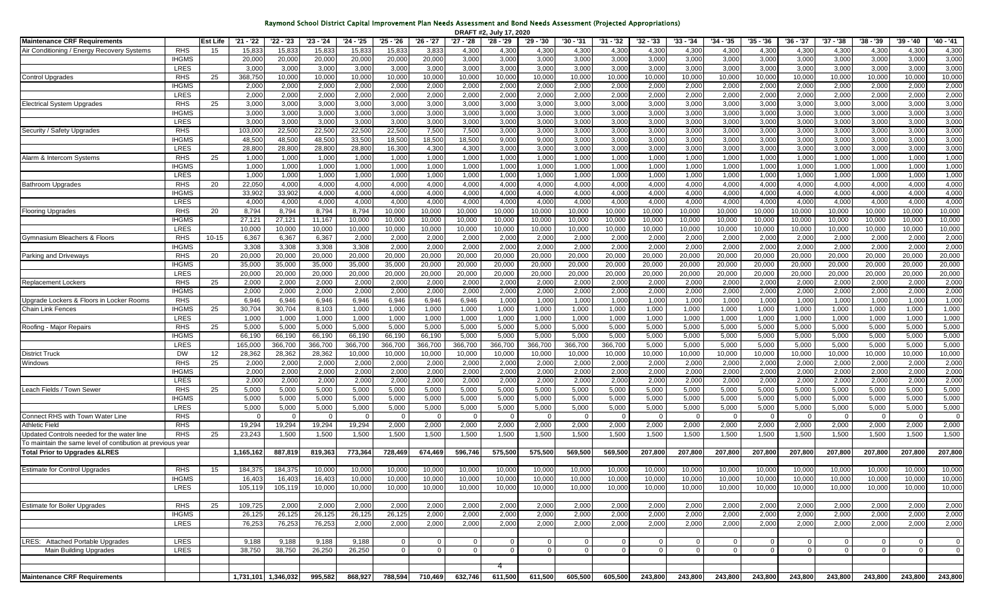|  |  |  | Raymond School District Capital Improvement Plan Needs Assessment and Bond Needs Assessment (Projected Appropriations) |
|--|--|--|------------------------------------------------------------------------------------------------------------------------|
|  |  |  |                                                                                                                        |

|                                                            |                      |          |                   |                     |                  |                  |                  |                  |                  | DRAFT #2, July 17, 2020 |                  |                  |                  |                  |                  |                  |                         |                  |                  |                  |                  |                         |
|------------------------------------------------------------|----------------------|----------|-------------------|---------------------|------------------|------------------|------------------|------------------|------------------|-------------------------|------------------|------------------|------------------|------------------|------------------|------------------|-------------------------|------------------|------------------|------------------|------------------|-------------------------|
| <b>Maintenance CRF Requirements</b>                        |                      | Est Life | '21 - '22         | '22 - '23           | $'23 - '24$      | '24 - '25        | '25 - '26        | '26 - '27        | '27 - '28        | '28 - '29               | '29 - '30        | '30 - '31        | $'31 - '32$      | $'32 - '33$      | $'33 - '34$      | $34 - 35$        | $'35 - '36$             | '36 - '37        | $'37 - '38$      | $'38 - '39$      | '39 - '40        | '40 - '41               |
| Air Conditioning / Energy Recovery Systems                 | <b>RHS</b>           | 15       | 15,83             | 15,83               | 15,83            | 15,833           | 15,83            | 3,83             | 4,300            | 4,30                    | 4,300            | 4,30             | 4,30             | 4,300            | 4,30             | 4,300            | 4,300                   | 4,300            | 4,300            | 4,300            | 4,300            | 4,300                   |
|                                                            | <b>IHGMS</b>         |          | 20,00             | 20,000              | 20,000           | 20,000           | 20,000           | 20,000           | 3,000            | 3,000                   | 3,000            | 3,000            | 3,000            | 3,000            | 3,000            | 3,000            | 3,000                   | 3,000            | 3,000            | 3,000            | 3,000            | 3,000                   |
|                                                            | LRES                 |          | 3,00              | 3,000               | 3,000            | 3,000            | 3,000            | 3,000            | 3,000            | 3,000                   | 3,000            | 3,000            | 3,000            | 3,000            | 3,000            | 3,000            | 3,000                   | 3,000            | 3,000            | 3,000            | 3,000            | 3,000                   |
| <b>Control Upgrades</b>                                    | RHS                  | 25       | 368,750           | 10,000              | 10,000           | 10,000           | 10,000           | 10,000           | 10,000           | 10,000                  | 10,000           | 10,00            | 10,000           | 10,000           | 10,00            | 10,000           | 10,000                  | 10,000           | 10,000           | 10,000           | 10,000           | 10,000                  |
|                                                            | <b>IHGMS</b>         |          | 2,000             | 2,000               | 2,000            | 2,000            | 2,000            | 2,000            | 2,000            | 2,000                   | 2,000            | 2,000            | 2,000            | 2,000            | 2,00             | 2,000            | 2,000                   | 2,000            | 2,000            | 2,000            | 2,000            | 2,000                   |
|                                                            | LRES                 |          | 2,000             | 2,000               | 2,000            | 2,000            | 2,000            | 2,000            | 2,000            | 2,000                   | 2,000            | 2,000            | 2,000            | 2,000            | 2,000            | 2,000            | 2,000                   | 2,000            | 2,000            | 2,000            | 2,000            | 2,000                   |
| <b>Electrical System Upgrades</b>                          | <b>RHS</b>           | 25       | 3,000             | 3,000               | 3,000            | 3,000            | 3,000            | 3,000            | 3,000            | 3,000                   | 3,000            | 3,000            | 3,000            | 3,000            | 3,000            | 3,000            | 3,000                   | 3,000            | 3,000            | 3,000            | 3,000            | 3,000                   |
|                                                            | <b>IHGMS</b>         |          | 3,000             | 3,000               | 3,000            | 3,000            | 3,000            | 3,000            | 3,000            | 3,000                   | 3,000            | 3,000            | 3,000            | 3,000            | 3,000            | 3,000            | 3,000                   | 3,000            | 3,000            | 3,000            | 3,000            | 3,000                   |
|                                                            | LRES                 |          | 3,00              | 3,000               | 3,000            | 3,000            | 3,000            | 3,000            | 3,000            | 3,000                   | 3,000            | 3,000            | 3,000            | 3,000            | 3,000            | 3,000            | 3,000                   | 3,000            | 3,000            | 3,000            | 3,000            | 3,000                   |
| Security / Safety Upgrades                                 | RHS                  |          | 103,00            | 22,500              | 22,500           | 22,500           | 22,500           | 7,500            | 7,500            | 3,000                   | 3,000            | 3,000            | 3,000            | 3,000            | 3,000            | 3,000            | 3,000                   | 3,000            | 3,000            | 3,000            | 3,000            | 3,000                   |
|                                                            | <b>IHGMS</b>         |          | 48,50             | 48,500              | 48,500           | 33,500           | 18,500           | 18,500           | 18,500           | 9,000                   | 9,000            | 3,000            | 3,000            | 3,000            | 3,000            | 3,000            | 3,000                   | 3,000            | 3,000            | 3,000            | 3,000            | 3,000                   |
|                                                            | LRES                 |          | 28,80             | 28,800              | 28,800           | 28,800           | 16,300           | 4,300            | 4,300            | 3,000                   | 3,000            | 3,000            | 3,000            | 3,000            | 3,000            | 3,000            | 3,000                   | 3,000            | 3,000            | 3,000            | 3,000            | 3,000                   |
| Alarm & Intercom Systems                                   | <b>RHS</b>           | 25       | 1,00              | 1,000               | 1,000            | 1,000            | 1,000            | 1,000            | 1,000            | 1,000                   | 1,000            | 1,000            | 1,000            | 1,000            | 1,000            | 1,000            | 1,000                   | 1,000            | 1,000            | 1,000            | 1,000            | 1,000                   |
|                                                            | <b>IHGMS</b>         |          | 1,000             | 1,000               | 1,000            | 1,000            | 1,000            | 1,000            | 1,000            | 1,000                   | 1,000            | 1,000            | 1,000            | 1,000            | 1,000            | 1,000            | 1,000                   | 1,000            | 1,000            | 1,000            | 1,000            | 1,000                   |
|                                                            | LRES                 |          | 1,00              | 1,000               | 1,000            | 1,000            | 1,000            | 1,000            | 1,000            | 1,000                   | 1,000            | 1,000            | 1,000            | 1,000            | 1,000            | 1,000            | 1,000                   | 1,000            | 1,000            | 1,000            | 1,000            | 1,000                   |
| <b>Bathroom Upgrades</b>                                   | RHS                  | 20       | 22,050            | 4,000               | 4,000            | 4,000            | 4,000            | 4,000            | 4,000            | 4,000                   | 4,000            | 4,000            | 4,000            | 4,000            | 4,000            | 4,000            | 4,000                   | 4,000            | 4,000            | 4,000            | 4,000            | 4,000                   |
|                                                            | <b>IHGMS</b>         |          | 33,90             | 33,902              | 4,000            | 4,000            | 4,000            | 4,000            | 4,000            | 4,000                   | 4,000            | 4,000            | 4,000            | 4,000            | 4,000            | 4,000            | 4,000                   | 4,000            | 4,000            | 4,000            | 4,000            | 4,000                   |
|                                                            | LRES                 |          | 4,00              | 4,000               | 4,000            | 4,000            | 4,000            | 4,000            | 4,000            | 4,000                   | 4,000            | 4,000            | 4,000            | 4,000            | 4,000            | 4,000            | 4,000                   | 4,000            | 4,000            | 4,000            | 4,000            | 4,000                   |
| <b>Flooring Upgrades</b>                                   | <b>RHS</b>           | 20       | 8,794             | 8,794               | 8,794            | 8,794            | 10,000           | 10,000           | 10,000           | 10,000                  | 10,000           | 10,000           | 10,000           | 10,000           | 10,000           | 10,000           | 10,000                  | 10,000           | 10,000           | 10,000           | 10,000           | 10,000                  |
|                                                            | <b>IHGMS</b>         |          | 27,12'            | 27,121              | 11,167           | 10,000           | 10,000           | 10,000           | 10,000           | 10,000                  | 10,000           | 10,000           | 10,000           | 10,000           | 10,000           | 10,000           | 10,000                  | 10,000           | 10,000           | 10,000           | 10,000           | 10,000                  |
|                                                            | <b>LRES</b>          |          | 10,000            | 10,000              | 10,000           | 10,000           | 10,000           | 10,000           | 10,000           | 10,000                  | 10,000           | 10,000           | 10,000           | 10,000           | 10,000           | 10,000           | 10,000                  | 10,000           | 10,000           | 10,000           | 10,000           | 10,000                  |
| Gymnasium Bleachers & Floors                               | RHS                  | 10-15    | 6,367             | 6,367               | 6,367            | 2,000            | 2,000            | 2,000            | 2,000            | 2,000                   | 2,000            | 2,000            | 2,000            | 2,00             | 2,00             | 2,000            | 2,000                   | 2,00             | 2,000            | 2,000            | 2,000            | 2,000                   |
|                                                            | <b>IHGMS</b>         |          | 3,308             | 3,308               | 3,308            | 3,308            | 2,000            | 2,000            | 2,000            | 2,00                    | 2,000            | 2,00             | 2,000            | 2,000            | 2,00             | 2,000            | 2,000                   | 2,000            | 2,000            | 2,000            | 2,000            | 2,000                   |
| Parking and Driveways                                      | RHS                  | 20       | 20,000            | 20,000              | 20,000           | 20,000           | 20,000           | 20,000           | 20,000           | 20,000                  | 20,000           | 20,000           | 20,000           | 20,000           | 20,000           | 20,000           | 20,000                  | 20,000           | 20,000           | 20,000           | 20,000           | 20,000                  |
|                                                            | <b>IHGMS</b>         |          | 35,000            | 35,000              | 35,000           | 35,000           | 35,000           | 20,000           | 20,000           | 20,000                  | 20,000           | 20,000           | 20,000           | 20,000           | 20,000           | 20,000           | 20,000                  | 20,000           | 20,000           | 20,000           | 20,000           | 20,000                  |
|                                                            | LRES                 |          | 20,000            | 20,000              | 20,000           | 20,000           | 20,000           | 20,000           | 20,000           | 20,000                  | 20,000           | 20,000           | 20,000           | 20,000           | 20,000           | 20,000           | 20,000                  | 20,000           | 20,000           | 20,000           | 20,000           | 20,000                  |
| <b>Replacement Lockers</b>                                 | <b>RHS</b>           | 25       | 2,000             | 2,000               | 2,000            | 2,000            | 2,000            | 2,000            | 2,000            | 2,00                    | 2,000            | 2,000            | 2,000            | 2,000            | 2,00             | 2,000            | 2,000                   | 2,000            | 2,000            | 2,000            | 2,000            | 2,000                   |
|                                                            | <b>IHGMS</b>         |          | 2,000             | 2,000               | 2,000            | 2,000            | 2,000            | 2,000            | 2,000            | 2,000                   | 2,000            | 2,000            | 2,000            | 2,000            | 2,000            | 2,000            | 2,000                   | 2,000            | 2,000            | 2,000            | 2,000            | 2,000                   |
| Upgrade Lockers & Floors in Locker Rooms                   | RHS                  |          | 6,946             | 6,946               | 6,946            | 6,946            | 6,946            | 6,946            | 6,946            | 1,000                   | 1,000            | 1,000            | 1,000            | 1,000            | 1,000            | 1,000            | 1,000                   | 1,000            | 1,000            | 1,000            | 1,000            | 1,000                   |
| Chain Link Fences                                          | <b>IHGMS</b>         | 25       | 30,704            | 30,704              | 8,103            | 1,000            | 1,000            | 1,000            | 1,000            | 1,000                   | 1,000            | 1,000            | 1,000            | 1,000            | 1,000            | 1,000            | 1,000                   | 1,000            | 1,000            | 1,000            | 1,000            | 1,000                   |
|                                                            | LRES                 |          | 1,000             | 1,000               | 1,000            | 1,000            | 1,000            | 1,000            | 1,000            | 1,000                   | 1,000            | 1,000            | 1,000            | 1,000            | 1,000            | 1,000            | 1,000                   | 1,000            | 1,000            | 1,000            | 1,000            | 1,000                   |
| Roofing - Major Repairs                                    | RHS                  | 25       | 5,000             | 5,000               | 5,000            | 5,000            | 5,000            | 5,000            | 5,000            | 5,000                   | 5,000            | 5,000            | 5,000            | 5,000            | 5,000            | 5,000            | 5,000                   | 5,000            | 5,000            | 5,000            | 5,000            | 5,000                   |
|                                                            | <b>IHGMS</b>         |          | 66,190            | 66,190              | 66,190           | 66,190           | 66,190           | 66,190           | 5,000            | 5,000                   | 5,000            | 5,000            | 5,000            | 5,000            | 5,000            | 5,000            | 5,000                   | 5,000            | 5,000            | 5,000            | 5,000            | 5,000                   |
|                                                            | LRES                 |          | 165,000           | 366,700             | 366,700          | 366,700          | 366,700          | 366,700          | 366,700          | 366,700                 | 366,700          | 366,700          | 366,700          | 5,000            | 5,000            | 5,000            | 5,000                   | 5,000            | 5,000            | 5,000            | 5,000            | 5,000                   |
| <b>District Truck</b>                                      | DW                   | 12       | 28,362            | 28,362              | 28,362           | 10,000           | 10,000           | 10,000           | 10,000           | 10,000                  | 10,000           | 10,000           | 10,000           | 10,000           | 10,000           | 10,000           | 10,000                  | 10,000           | 10,000           | 10,000           | 10,000           | 10,000                  |
| Windows                                                    | RHS                  | 25       | 2,00              | 2,000               | 2,000            | 2,000            | 2,000            | 2,000            | 2,000            | 2,000                   | 2,000            | 2,000            | 2,000            | 2,000            | 2,00             | 2,000            | 2,000                   | 2,000            | 2,000            | 2,000            | 2,000            | 2,000                   |
|                                                            | <b>IHGMS</b>         |          | 2,000             | 2,000               | 2,000            | 2,000            | 2,000            | 2,000            | 2,000            | 2,000                   | 2,000            | 2,000            | 2,000            | 2,000            | 2,000            | 2,000            | 2,000                   | 2,000            | 2,000            | 2,000            | 2,000            | 2,000                   |
|                                                            | LRES                 |          | 2,00              | 2,000               | 2,000            | 2,000            | 2,000            | 2,000            | 2,000            | 2,000                   | 2,000            | 2,000            | 2,000            | 2,000            | 2,00             | 2,000            | 2,000                   | 2,000            | 2,000            | 2,000            | 2,000            | 2,000                   |
| Leach Fields / Town Sewer                                  | <b>RHS</b>           | 25       | 5,000             | 5,000               | 5,000            | 5,000            | 5,000            | 5,000            | 5,000            | 5,000                   | 5,000            | 5,000            | 5,000            | 5,000            | 5,000            | 5,000            | 5,000                   | 5,000            | 5,000            | 5,000            | 5,000            | 5,000                   |
|                                                            | <b>IHGMS</b>         |          | 5,000             | 5,000               | 5,000            | 5,000            | 5,000            | 5,000            | 5,000            | 5,000                   | 5,000            | 5,000            | 5,000            | 5,000            | 5,000            | 5,000            | 5,000                   | 5,000            | 5,000            | 5,000            | 5,000            | 5,000                   |
|                                                            | LRES                 |          | 5,000             | 5,000               | 5,000            | 5,000            | 5,000            | 5,000            | 5,000            | 5,000                   | 5,000            | 5,000            | 5,000            | 5,000            | 5,000            | 5,000            | 5,000                   | 5,000            | 5,000            | 5,000            | 5,000            | 5,000                   |
| Connect RHS with Town Water Line                           | RHS                  |          |                   | - 0                 | - 0              | $\Omega$         | $\Omega$         |                  |                  | $\Omega$                | $\Omega$         |                  |                  |                  |                  | - 0              |                         |                  | - 0              | - 0              | $^{\circ}$       | - 0                     |
| <b>Athletic Field</b>                                      | <b>RHS</b>           |          | 19,294            | 19,294              | 19,294           | 19,294           | 2,000            | 2,000            | 2,000            | 2,000                   | 2,000            | 2,000            | 2,000            | 2,000            | 2,000            | 2,000            | 2,000                   | 2,000            | 2,000            | 2,000            | 2,000            | 2,000                   |
| Updated Controls needed for the water line                 | <b>RHS</b>           | 25       | 23,243            | 1,500               | 1,500            | 1,500            | 1,500            | 1,500            | 1,500            | 1,500                   | 1,500            | 1,500            | 1,500            | 1,500            | 1,500            | 1,500            | 1,500                   | 1,500            | 1,500            | 1,500            | 1,500            | 1,500                   |
| To maintain the same level of contibution at previous year |                      |          |                   |                     |                  |                  |                  |                  |                  |                         |                  |                  |                  |                  |                  |                  |                         |                  |                  |                  |                  |                         |
| <b>Total Prior to Upgrades &amp;LRES</b>                   |                      |          | 1,165,162         | 887,819             | 819,363          | 773,364          | 728,469          | 674,469          | 596,746          | 575,500                 | 575,500          | 569,500          | 569,500          | 207,800          | 207,80           | 207,800          | 207,800                 | 207,800          | 207,800          | 207,800          | 207,800          | 207,800                 |
| <b>Estimate for Control Upgrades</b>                       | <b>RHS</b>           | 15       | 184.375           | 184.375             | 10.000           | 10.000           | 10.00            | 10,000           | 10.000           | 10.00                   | 10.000           | 10,000           | 10,000           | 10,000           | 10,000           | 10,000           | 10,000                  | 10,00            | 10.000           | 10.000           | 10.000           | 10,000                  |
|                                                            |                      |          |                   |                     |                  |                  |                  |                  |                  |                         |                  |                  |                  |                  |                  |                  |                         |                  |                  |                  |                  |                         |
|                                                            | <b>IHGMS</b><br>LRES |          | 16,403<br>105,119 | 16,403<br>105,119   | 16,403<br>10,000 | 10,000<br>10,000 | 10,000<br>10,000 | 10,000<br>10,000 | 10,000<br>10,000 | 10,000<br>10,000        | 10,000<br>10,000 | 10,000<br>10,000 | 10,000<br>10,000 | 10,000<br>10,000 | 10,000<br>10,000 | 10,000<br>10,000 | 10,000<br>10,000        | 10,000<br>10,000 | 10,000<br>10,000 | 10,000<br>10,000 | 10,000<br>10,000 | 10,000<br>10,000        |
|                                                            |                      |          |                   |                     |                  |                  |                  |                  |                  |                         |                  |                  |                  |                  |                  |                  |                         |                  |                  |                  |                  |                         |
| <b>Estimate for Boiler Upgrades</b>                        | <b>RHS</b>           | 25       | 109,725           | 2,000               | 2,000            | 2,000            | 2,000            | 2,000            | 2,000            | 2,000                   | 2,000            | 2,000            | 2,000            | 2,000            | 2,000            | 2,000            | 2,000                   | 2,000            | 2,000            | 2,000            | 2,000            | 2,000                   |
|                                                            | <b>IHGMS</b>         |          | 26,125            | 26,125              | 26,125           | 26,125           | 26,125           | 2,000            | 2,000            | 2,000                   | 2,000            | 2,000            | 2,000            | 2,000            | 2,000            | 2,000            | 2,000                   | 2,000            | 2,000            | 2,000            | 2,000            | 2,000                   |
|                                                            | LRES                 |          | 76,253            | 76,253              | 76,253           | 2,000            | 2,000            | 2,000            | 2,000            | 2,000                   | 2,000            | 2,000            | 2,000            | 2,000            | 2,000            | 2,000            | 2,000                   | 2,000            | 2,000            | 2,000            | 2,000            | 2,000                   |
|                                                            |                      |          |                   |                     |                  |                  |                  |                  |                  |                         |                  |                  |                  |                  |                  |                  |                         |                  |                  |                  |                  |                         |
| LRES: Attached Portable Upgrades                           | LRES                 |          | 9,188             | 9,188               | 9,188            | 9,188            | $\overline{0}$   | $\mathbf 0$      | 0                | $\mathbf{0}$            | $\mathbf 0$      | $\mathbf 0$      | $\overline{0}$   |                  | $\mathbf 0$      | $\overline{0}$   | $\overline{\mathbf{0}}$ | $\overline{0}$   | $\mathbf 0$      | $\mathbf{0}$     | $\mathbf{0}$     | $\overline{0}$          |
| <b>Main Building Upgrades</b>                              | LRES                 |          | 38,750            | 38,750              | 26,250           | 26,250           | $\overline{0}$   | $\overline{0}$   | $\mathbf 0$      | $\mathbf 0$             | $\mathbf 0$      | $\overline{0}$   | $\overline{0}$   | $\mathbf{0}$     | $\Omega$         | $\overline{0}$   | $\overline{0}$          | $\overline{0}$   | $\Omega$         | $\mathbf 0$      | $\mathbf{0}$     | $\overline{\mathbf{0}}$ |
|                                                            |                      |          |                   |                     |                  |                  |                  |                  |                  |                         |                  |                  |                  |                  |                  |                  |                         |                  |                  |                  |                  |                         |
|                                                            |                      |          |                   |                     |                  |                  |                  |                  |                  |                         |                  |                  |                  |                  |                  |                  |                         |                  |                  |                  |                  |                         |
| <b>Maintenance CRF Requirements</b>                        |                      |          |                   | 1,731,101 1,346,032 | 995,582          | 868,927          | 788,594          | 710,469          | 632,746          | 611,500                 | 611,500          | 605,500          | 605,500          | 243,800          | 243,800          | 243,800          | 243,800                 | 243,800          | 243,800          | 243,800          | 243,800          | 243,800                 |
|                                                            |                      |          |                   |                     |                  |                  |                  |                  |                  |                         |                  |                  |                  |                  |                  |                  |                         |                  |                  |                  |                  |                         |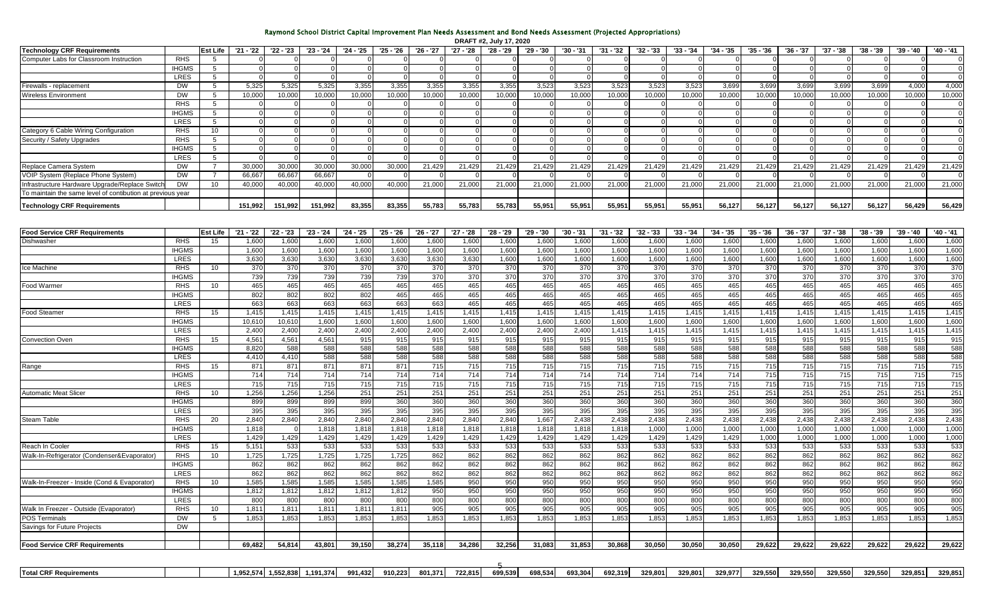## Raymond School District Capital Improvement Plan Needs Assessment and Bond Needs Assessment (Projected Appropriations)

|                                                            |                      |                 |             |                       |           |             |           |           |           | DRAFT #2, July 17, 2020 |           |             |             |                 |             |           |             |           |                 |             |           |               |
|------------------------------------------------------------|----------------------|-----------------|-------------|-----------------------|-----------|-------------|-----------|-----------|-----------|-------------------------|-----------|-------------|-------------|-----------------|-------------|-----------|-------------|-----------|-----------------|-------------|-----------|---------------|
| <b>Technology CRF Requirements</b>                         |                      | <b>Est Life</b> | '21 - '22   | $\overline{22}$ - '23 | '23 - '24 | '24 - '25   | '25 - '26 | '26 - '27 | '27 - '28 | '28 - '29               | '29 - '30 | '30 - '31   | '31 - '32   | $'32 - '33$     | $'33 - '34$ | '34 - '35 | $'35 - '36$ | '36 - '37 | $'37 - '38$     | $'38 - '39$ | '39 - '40 | '40 - '41     |
| Computer Labs for Classroom Instruction                    | <b>RHS</b>           | 5               |             |                       |           |             |           |           |           |                         |           |             |             |                 |             |           |             |           |                 |             |           | 0             |
|                                                            | <b>IHGMS</b>         | $5\overline{)}$ |             |                       |           |             |           |           |           |                         |           |             |             |                 |             |           |             |           |                 |             |           | $\Omega$      |
|                                                            | <b>LRES</b>          | 5               |             |                       |           |             |           |           |           |                         |           |             |             |                 |             |           |             |           |                 |             |           | $\Omega$      |
| Firewalls - replacement                                    | <b>DW</b>            | 5               | 5,325       | 5,325                 | 5,32      | 3,355       | 3,355     | 3,355     | 3,355     | 3,355                   | 3,523     | 3,52        | 3,52        | 3,52            | 3,52        | 3,699     | 3,699       | 3,699     | 3,69            | 3,699       | 4,000     | 4,000         |
| Wireless Environment                                       | <b>DW</b>            | 5               | 10,000      | 10,000                | 10,000    | 10,000      | 10,000    | 10,000    | 10,000    | 10,000                  | 10,000    | 10,000      | 10,000      | 10,000          | 10,000      | 10,000    | 10,000      | 10,000    | 10,000          | 10,000      | 10,000    | 10,000        |
|                                                            | <b>RHS</b>           | 5               |             |                       |           |             |           |           |           |                         |           |             |             |                 |             |           |             |           |                 |             |           | $\mathbf 0$   |
|                                                            | <b>IHGMS</b>         | 5               |             |                       |           |             | $\Omega$  |           |           |                         |           |             |             |                 |             |           |             |           |                 |             |           | $\mathbf 0$   |
|                                                            | <b>LRES</b>          | 5               |             |                       |           |             |           |           |           |                         |           |             |             |                 |             |           |             |           |                 |             |           | $\mathbf 0$   |
| Category 6 Cable Wiring Configuration                      | <b>RHS</b><br>$R$ HS | 10              |             |                       |           |             |           |           |           |                         |           |             |             |                 |             |           |             |           |                 |             |           |               |
| Security / Safety Upgrades                                 | <b>IHGMS</b>         | 5<br>5          |             |                       |           |             | $\Omega$  |           |           |                         |           |             |             |                 |             |           |             |           |                 |             |           | 0<br>$\Omega$ |
|                                                            | <b>LRES</b>          | 5               |             |                       |           |             | $\Omega$  | $\Omega$  |           |                         |           |             |             |                 |             |           |             |           |                 |             |           | $\Omega$      |
| Replace Camera System                                      | <b>DW</b>            |                 | 30,000      | 30,000                | 30,000    | 30,000      | 30,000    | 21,429    | 21,429    | 21,429                  | 21,429    | 21,429      | 21,429      | 21,429          | 21,42       | 21,429    | 21,429      | 21,429    | 21,429          | 21,429      | 21,429    | 21,429        |
| VOIP System (Replace Phone System)                         | <b>DW</b>            | $\overline{7}$  | 66,66       | 66,66                 | 66,66     |             |           |           |           |                         |           |             |             |                 |             |           |             |           |                 |             |           |               |
| Infrastructure Hardware Upgrade/Replace Switch             | <b>DW</b>            | 10              | 40,00       | 40,000                | 40,000    | 40,000      | 40,000    | 21,000    | 21,000    | 21,000                  | 21,000    | 21,000      | 21,000      | 21,000          | 21,000      | 21,000    | 21,000      | 21,000    | 21,00           | 21,000      | 21,000    | 21,000        |
| To maintain the same level of contibution at previous year |                      |                 |             |                       |           |             |           |           |           |                         |           |             |             |                 |             |           |             |           |                 |             |           |               |
|                                                            |                      |                 |             |                       |           |             |           |           |           |                         |           |             |             |                 |             |           |             |           |                 |             |           |               |
| <b>Technology CRF Requirements</b>                         |                      |                 | 151,992     | 151,992               | 151,992   | 83,355      | 83,355    | 55,783    | 55,78     | 55,783                  | 55,951    | 55,951      | 55,951      | 55,951          | 55,95       | 56,127    | 56,127      | 56,127    | 56,127          | 56,127      | 56,429    | 56,429        |
|                                                            |                      |                 |             |                       |           |             |           |           |           |                         |           |             |             |                 |             |           |             |           |                 |             |           |               |
|                                                            |                      | Est Life        | $'21 - '22$ | $'22 - '23$           | '23 - '24 | $'24 - '25$ | '25 - '26 | '26 - '27 | '27 - '28 | '28 - '29               | '29 - '30 | $'30 - '31$ | $'31 - '32$ | '32 - '33       | $'33 - '34$ | $34 - 35$ | $35 - 36$   | '36 37    | '37 - '38       | $'38 - '39$ | '39 - '40 | '40 - '41     |
| <b>Food Service CRF Requirements</b><br>Dishwasher         | <b>RHS</b>           | 15              | 1,60        | 1,600                 | 1,600     | 1,600       | 1,600     | 1,600     | 1,600     | 1,600                   | 1,600     | 1,600       | 1,600       | 1,60            | 1,60        | 1,60      | 1,600       | 1,600     | 1,60            | 1,600       | 1,600     | 1,600         |
|                                                            | <b>IHGMS</b>         |                 | 1,600       | 1,600                 | 1,600     | 1,600       | 1,600     | 1,600     | 1,600     | 1,600                   | 1,600     | 1,600       | 1,600       | 1,600           | 1,600       | 1,600     | 1,600       | 1,600     | 1,600           | 1,600       | 1,600     | 1,600         |
|                                                            | <b>LRES</b>          |                 | 3,630       | 3,630                 | 3,630     | 3,630       | 3,630     | 3,630     | 3,630     | 1,600                   | 1,600     | 1,600       | 1,600       | 1,600           | 1,600       | 1,600     | 1,600       | 1,600     | 1,600           | 1,600       | 1,600     | 1,600         |
| Ice Machine                                                | <b>RHS</b>           | 10              | 370         | 370                   | 370       | 370         | 370       | 370       | 370       | 370                     | 370       | 370         | 370         | 37 <sub>0</sub> | 370         | 370       | 370         | 370       | 370             | 370         | 370       | 370           |
|                                                            | <b>IHGMS</b>         |                 | 739         | 739                   | 739       | 739         | 739       | 370       | 370       | 370                     | 370       | 370         | 370         | 370             | 370         | 37C       | 370         | 370       | 370             | 370         | 370       | 370           |
| Food Warmer                                                | <b>RHS</b>           | 10              | 465         | 465                   | 465       | 465         | 465       | 465       | 465       | 465                     | 465       | 465         | 465         | 465             | 465         | 465       | 465         | 465       | 465             | 465         | 465       | 465           |
|                                                            | <b>IHGMS</b>         |                 | 802         | 802                   | 802       | 802         | 465       | 465       | 465       | 465                     | 465       | 465         | 465         | 465             | 465         | 465       | 465         | 465       | 465             | 465         | 465       | 465           |
|                                                            | <b>LRES</b>          |                 | 663         | 663                   | 663       | 663         | 663       | 663       | 465       | 465                     | 465       | 465         | 465         | 465             | 465         | 465       | 465         | 465       | 465             | 465         | 465       | 465           |
| <b>Food Steamer</b>                                        | <b>RHS</b>           | 15              | 1,415       | 1,415                 | 1,415     | 1,415       | 1,415     | 1,415     | 1,415     | 1,415                   | 1,415     | 1,415       | 1,415       | 1,415           | 1,415       | 1,415     | 1,415       | 1,415     | 1,415           | 1,415       | 1,415     | 1,415         |
|                                                            | <b>IHGMS</b>         |                 | 10,61       | 10,61                 | 1,600     | 1,600       | 1,600     | 1,600     | 1,600     | 1,600                   | 1,600     | 1,600       | 1,600       | 1,600           | 1,600       | 1,600     | 1,600       | 1,600     | 1,600           | 1,600       | 1,600     | 1,600         |
|                                                            | LRES                 |                 | 2,400       | 2,400                 | 2,400     | 2,400       | 2,400     | 2,400     | 2,400     | 2,400                   | 2,400     | 2,400       | 1,415       | 1,415           | 1,41        | 1,415     | 1,41!       | 1,415     | 1,415           | 1,415       | 1,415     | 1,415         |
| <b>Convection Oven</b>                                     | <b>RHS</b>           | 15              | 4,561       | 4,561                 | 4,561     | 915         | 915       | 915       | 915       | 915                     | 915       | 915         | 915         | 915             | 915         | 915       | 915         | 915       | 915             | 915         | 915       | 915           |
|                                                            | <b>IHGMS</b>         |                 | 8,820       | 588                   | 588       | 588         | 588       | 588       | 588       | 588                     | 588       | 588         | 588         | 588             | 588         | 588       | 588         | 588       | 588             | 588         | 588       | 588           |
|                                                            | <b>LRES</b>          |                 | 4,410       | 4,410                 | 588       | 588         | 588       | 588       | 588       | 588                     | 588       | 588         | 588         | 588             | 588         | 588       | 588         | 588       | 588             | 588         | 588       | 588           |
| Range                                                      | <b>RHS</b>           | 15              | 871         | 871                   | 871       | 871         | 871       | 715       | 715       | 715                     | 715       | 715         | 715         | 715             | 715         | 715       | 715         | 715       | 715             | 715         | 715       | 715           |
|                                                            | <b>IHGMS</b>         |                 | 714         | 714                   | 714       | 714         | 714       | 714       | 714       | 714                     | 714       | 714         | 714         | 714             | 714         | 714       | 715         | 715       | 715             | 715         | 715       | 715           |
|                                                            | <b>LRES</b>          |                 | 715         | 715                   | 715       | 715         | 715       | 715       | 715       | 715                     | 715       | 715         | 715         | 715             | 715         | 715       | 715         | 715       | 715             | 715         | 715       | 715           |
| <b>Automatic Meat Slicer</b>                               | <b>RHS</b>           | 10 <sup>°</sup> | 1,256       | 1,256                 | 1,256     | 251         | 251       | 251       | 251       | 251                     | 251       | 251         | 251         | 251             | 251         | 251       | 251         | 251       | 251             | 251         | 251       | 251           |
|                                                            | <b>IHGMS</b>         |                 | 89          | 899                   | 899       | 899         | 360       | 360       | 360       | 360                     | 360       | 360         | 360         | 360             | 360         | 360       | 360         | 360       | 360             | 360         | 360       | 360           |
|                                                            | <b>LRES</b>          |                 | 395         | 395                   | 395       | 395         | 395       | 395       | 395       | 395                     | 395       | 395         | 395         | 395             | 395         | 395       | 395         | 395       | 395             | 395         | 395       | 395           |
| Steam Table                                                | <b>RHS</b>           | 20              | 2,840       | 2,840                 | 2,840     | 2,840       | 2,840     | 2,840     | 2,840     | 2,840                   | 1,667     | 2,438       | 2,438       | 2,438           | 2,438       | 2,438     | 2,438       | 2,438     | 2,438           | 2,438       | 2,438     | 2,438         |
|                                                            | <b>IHGMS</b>         |                 | 1,818       |                       | 1,818     | 1,818       | 1,818     | 1,818     | 1,818     | 1,818                   | 1,818     | 1,818       | 1,818       | 1,000           | 1,000       | 1,000     | 1,000       | 1,000     | 1,00            | 1,000       | 1,000     | 1,000         |
|                                                            | <b>LRES</b>          |                 | 1,429       | 1,429                 | 1,429     | 1,429       | 1,429     | 1,429     | 1,429     | 1,429                   | 1,429     | 1,429       | 1,429       | 1,429           | 1,429       | 1,429     | 1,000       | 1,000     | 1,000           | 1,000       | 1,000     | 1,000         |
| Reach In Cooler                                            | <b>RHS</b>           | 15              | 5,151       | 533                   | 533       | 533         | 533       | 533       | 533       | 533                     | 533       | 533         | 533         | 53              | 533         | 533       | 533         | 533       | 53              | 533         | 533       | 533           |
| Walk-In-Refrigerator (Condenser&Evaporator)                | <b>RHS</b>           | 10 <sup>°</sup> | 1,725       | 1,725                 | 1,725     | 1,725       | 1,725     | 862       | 862       | 862                     | 862       | 862         | 862         | 862             | 862         | 862       | 862         | 862       | 862             | 862         | 862       | 862           |
|                                                            | <b>IHGMS</b>         |                 | 862         | 862                   | 862       | 862         | 862       | 862       | 862       | 862                     | 862       | 862         | 862         | 862             | 862         | 862       | 862         | 862       | 862             | 862         | 862       | 862           |
|                                                            | <b>LRES</b>          |                 | 862         | 862                   | 862       | 862         | 862       | 862       | 862       | 862                     | 862       | 862         | 862         | 862             | 862         | 862       | 862         | 862       | 862             | 862         | 862       | 862           |
| Walk-In-Freezer - Inside (Cond & Evaporator)               | <b>RHS</b>           | 10              | 1,585       | 1,585                 | 1,585     | 1,585       | 1,585     | 1,585     | 950       | 950                     | 950       | 950         | 950         | 950             | 950         | 950       | 950         | 950       | 95C             | 950         | 950       | 950           |
|                                                            | <b>IHGMS</b>         |                 | 1.812       | 1,812                 | 1,812     | 1.812       | 1.812     | 950       | 950       | 950                     | 950       | 950         | 950         | 950             | 950         | 950       | 950         | 950       | 95 <sub>C</sub> | 950         | 950       | 950           |
|                                                            | <b>LRES</b>          |                 | 800         | 800                   | 800       | 800         | 800       | 800       | 800       | 800                     | 800       | 800         | 800         | 800             | 800         | 800       | 800         | 800       | 800             | 800         | 800       | 800           |
| Walk In Freezer - Outside (Evaporator                      | <b>RHS</b>           | 10              | 1,811       | 1,81                  | 1,811     | 1,811       | 1,811     | 905       | 905       | 905                     | 905       | 905         | 905         | 905             | 905         | 905       | 905         | 905       | 905             | 905         | 905       | 905           |
| <b>POS Terminals</b>                                       | <b>DW</b>            | 5               | 1,853       | 1,853                 | 1,85      | 1,853       | 1,853     | 1,853     | 1,853     | 1,853                   | 1,853     | 1,853       | 1,853       | 1,853           | 1,853       | 1,853     | 1,853       | 1,853     | 1,85            | 1,853       | 1,853     | 1,853         |
| Savings for Future Projects                                | <b>DW</b>            |                 |             |                       |           |             |           |           |           |                         |           |             |             |                 |             |           |             |           |                 |             |           |               |
| <b>Food Service CRF Requirements</b>                       |                      |                 | 69,482      | 54,814                | 43,801    | 39,150      | 38,274    | 35,118    | 34,286    | 32,256                  | 31,083    | 31,853      | 30,868      | 30,050          | 30,050      | 30,050    | 29,622      | 29,622    | 29,622          | 29,622      | 29,622    | 29,622        |
|                                                            |                      |                 |             |                       |           |             |           |           |           |                         |           |             |             |                 |             |           |             |           |                 |             |           |               |

| <b>Total CRF Requ</b> |  | 1.552.838 | 1.191.374 | 991.432 | 910.223 | 801,371 | 722.815 | 699,539 | 698,534 | 693,304 | 692,319 | 329,801 | 329,801 | 329,977 | 329,550<br>,,,,,,, | 329,550 | 329,550 | 329.550 | 329.851 | 329,851 |
|-----------------------|--|-----------|-----------|---------|---------|---------|---------|---------|---------|---------|---------|---------|---------|---------|--------------------|---------|---------|---------|---------|---------|